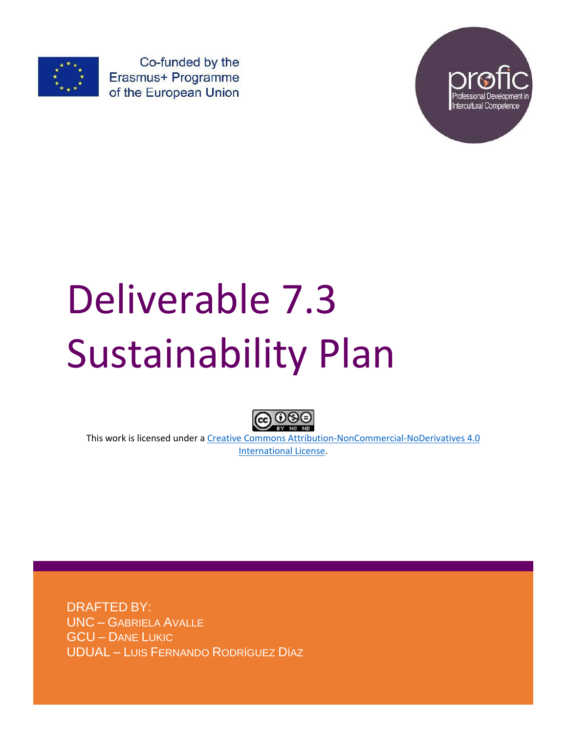

Co-funded by the Erasmus+ Programme of the European Union



# Deliverable 7.3 Sustainability Plan



This work is licensed under a [Creative Commons Attribution-NonCommercial-NoDerivatives 4.0](http://creativecommons.org/licenses/by-nc-nd/4.0/)  [International License.](http://creativecommons.org/licenses/by-nc-nd/4.0/)

DRAFTED BY: UNC – GABRIELA AVALLE GCU – DANE LUKIC UDUAL – LUIS FERNANDO RODRÍGUEZ DÍAZ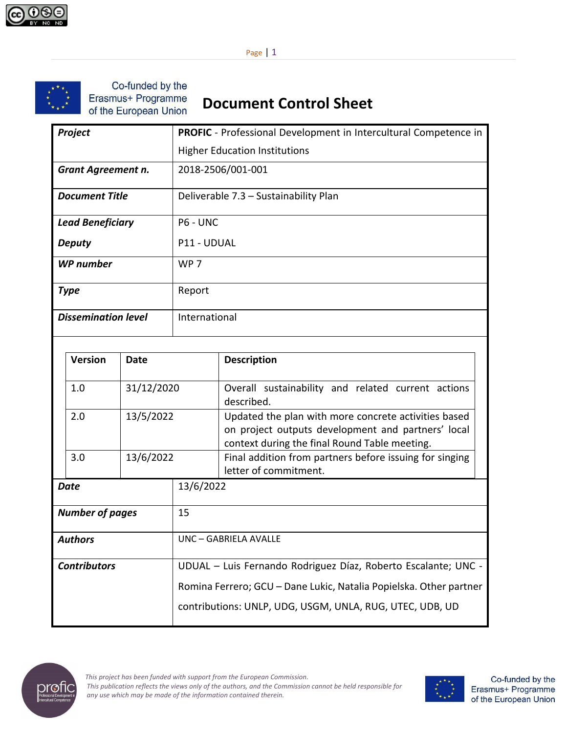

Page | 1



Co-funded by the Erasmus+ Programme of the European Union

# **Document Control Sheet**

| Project                    | <b>PROFIC</b> - Professional Development in Intercultural Competence in |  |  |
|----------------------------|-------------------------------------------------------------------------|--|--|
|                            | <b>Higher Education Institutions</b>                                    |  |  |
| <b>Grant Agreement n.</b>  | 2018-2506/001-001                                                       |  |  |
| <b>Document Title</b>      | Deliverable 7.3 - Sustainability Plan                                   |  |  |
| <b>Lead Beneficiary</b>    | P6 - UNC                                                                |  |  |
| <b>Deputy</b>              | P11 - UDUAL                                                             |  |  |
| <b>WP</b> number           | WP <sub>7</sub>                                                         |  |  |
| <b>Type</b>                | Report                                                                  |  |  |
| <b>Dissemination level</b> | International                                                           |  |  |

|                              | <b>Version</b> | Date       |                                                                | <b>Description</b>                                                                                                                                          |  |
|------------------------------|----------------|------------|----------------------------------------------------------------|-------------------------------------------------------------------------------------------------------------------------------------------------------------|--|
|                              | 1.0            | 31/12/2020 |                                                                | Overall sustainability and related current actions<br>described.                                                                                            |  |
|                              | 2.0            | 13/5/2022  |                                                                | Updated the plan with more concrete activities based<br>on project outputs development and partners' local<br>context during the final Round Table meeting. |  |
|                              | 3.0            | 13/6/2022  |                                                                | Final addition from partners before issuing for singing<br>letter of commitment.                                                                            |  |
| Date                         |                | 13/6/2022  |                                                                |                                                                                                                                                             |  |
| <b>Number of pages</b><br>15 |                |            |                                                                |                                                                                                                                                             |  |
| <b>Authors</b>               |                |            | UNC - GABRIELA AVALLE                                          |                                                                                                                                                             |  |
| <b>Contributors</b>          |                |            | UDUAL - Luis Fernando Rodriguez Díaz, Roberto Escalante; UNC - |                                                                                                                                                             |  |
|                              |                |            |                                                                | Romina Ferrero; GCU - Dane Lukic, Natalia Popielska. Other partner<br>contributions: UNLP, UDG, USGM, UNLA, RUG, UTEC, UDB, UD                              |  |



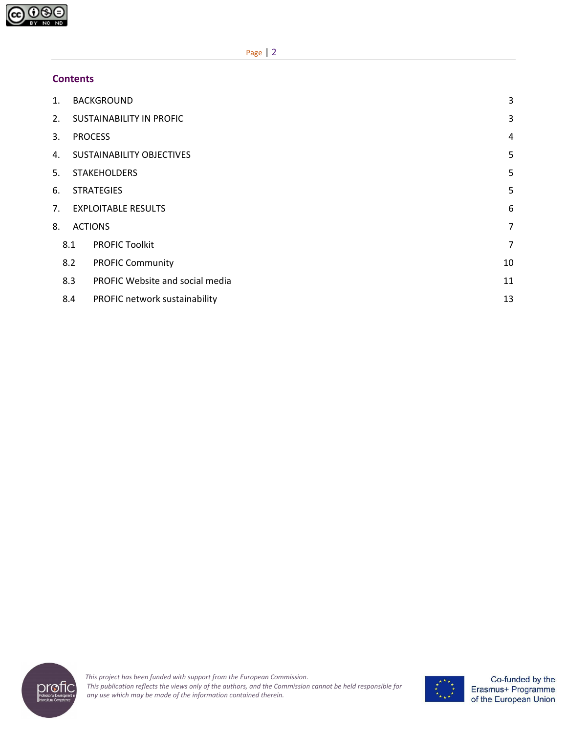

#### **Contents**

| 1. |                                       | <b>BACKGROUND</b>                | 3              |  |  |
|----|---------------------------------------|----------------------------------|----------------|--|--|
| 2. | <b>SUSTAINABILITY IN PROFIC</b>       |                                  |                |  |  |
| 3. | <b>PROCESS</b>                        |                                  |                |  |  |
| 4. | 5<br><b>SUSTAINABILITY OBJECTIVES</b> |                                  |                |  |  |
| 5. | 5<br><b>STAKEHOLDERS</b>              |                                  |                |  |  |
| 6. | 5<br><b>STRATEGIES</b>                |                                  |                |  |  |
| 7. | <b>EXPLOITABLE RESULTS</b>            |                                  |                |  |  |
| 8. |                                       | <b>ACTIONS</b><br>$\overline{7}$ |                |  |  |
|    | 8.1                                   | <b>PROFIC Toolkit</b>            | $\overline{7}$ |  |  |
|    | 8.2                                   | <b>PROFIC Community</b>          | 10             |  |  |
|    | 8.3                                   | PROFIC Website and social media  | 11             |  |  |
|    | 8.4                                   | PROFIC network sustainability    | 13             |  |  |



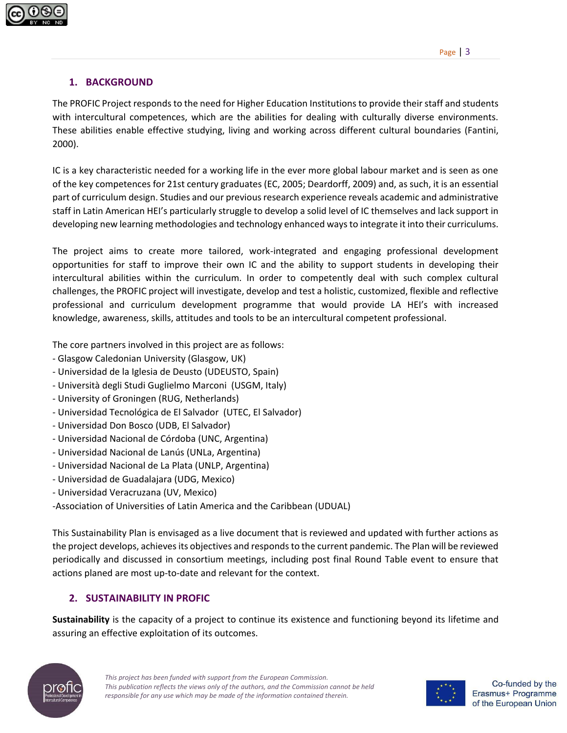

#### <span id="page-3-0"></span>**1. BACKGROUND**

The PROFIC Project responds to the need for Higher Education Institutions to provide their staff and students with intercultural competences, which are the abilities for dealing with culturally diverse environments. These abilities enable effective studying, living and working across different cultural boundaries (Fantini, 2000).

IC is a key characteristic needed for a working life in the ever more global labour market and is seen as one of the key competences for 21st century graduates (EC, 2005; Deardorff, 2009) and, as such, it is an essential part of curriculum design. Studies and our previous research experience reveals academic and administrative staff in Latin American HEI's particularly struggle to develop a solid level of IC themselves and lack support in developing new learning methodologies and technology enhanced ways to integrate it into their curriculums.

The project aims to create more tailored, work-integrated and engaging professional development opportunities for staff to improve their own IC and the ability to support students in developing their intercultural abilities within the curriculum. In order to competently deal with such complex cultural challenges, the PROFIC project will investigate, develop and test a holistic, customized, flexible and reflective professional and curriculum development programme that would provide LA HEI's with increased knowledge, awareness, skills, attitudes and tools to be an intercultural competent professional.

The core partners involved in this project are as follows:

- Glasgow Caledonian University (Glasgow, UK)
- Universidad de la Iglesia de Deusto (UDEUSTO, Spain)
- Università degli Studi Guglielmo Marconi (USGM, Italy)
- University of Groningen (RUG, Netherlands)
- Universidad Tecnológica de El Salvador (UTEC, El Salvador)
- Universidad Don Bosco (UDB, El Salvador)
- Universidad Nacional de Córdoba (UNC, Argentina)
- Universidad Nacional de Lanús (UNLa, Argentina)
- Universidad Nacional de La Plata (UNLP, Argentina)
- Universidad de Guadalajara (UDG, Mexico)
- Universidad Veracruzana (UV, Mexico)

-Association of Universities of Latin America and the Caribbean (UDUAL)

This Sustainability Plan is envisaged as a live document that is reviewed and updated with further actions as the project develops, achieves its objectives and responds to the current pandemic. The Plan will be reviewed periodically and discussed in consortium meetings, including post final Round Table event to ensure that actions planed are most up-to-date and relevant for the context.

#### <span id="page-3-1"></span>**2. SUSTAINABILITY IN PROFIC**

**Sustainability** is the capacity of a project to continue its existence and functioning beyond its lifetime and assuring an effective exploitation of its outcomes.



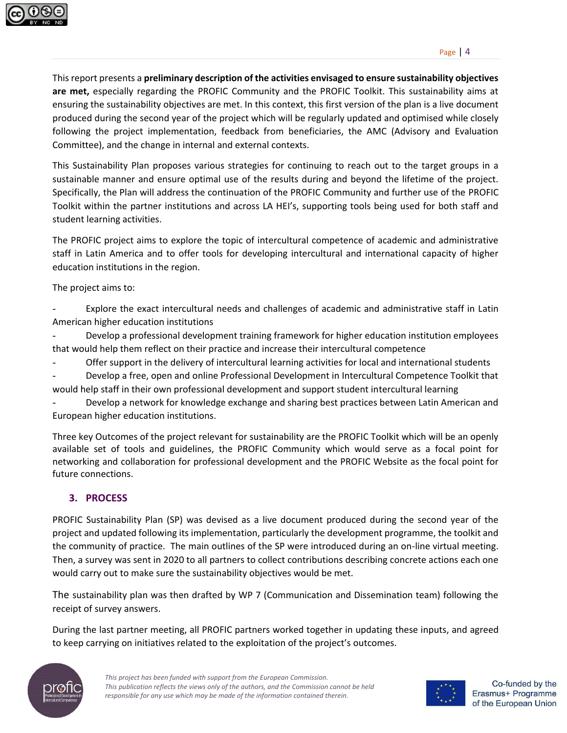

This report presents a **preliminary description of the activities envisaged to ensure sustainability objectives are met,** especially regarding the PROFIC Community and the PROFIC Toolkit. This sustainability aims at ensuring the sustainability objectives are met. In this context, this first version of the plan is a live document produced during the second year of the project which will be regularly updated and optimised while closely following the project implementation, feedback from beneficiaries, the AMC (Advisory and Evaluation Committee), and the change in internal and external contexts.

This Sustainability Plan proposes various strategies for continuing to reach out to the target groups in a sustainable manner and ensure optimal use of the results during and beyond the lifetime of the project. Specifically, the Plan will address the continuation of the PROFIC Community and further use of the PROFIC Toolkit within the partner institutions and across LA HEI's, supporting tools being used for both staff and student learning activities.

The PROFIC project aims to explore the topic of intercultural competence of academic and administrative staff in Latin America and to offer tools for developing intercultural and international capacity of higher education institutions in the region.

The project aims to:

Explore the exact intercultural needs and challenges of academic and administrative staff in Latin American higher education institutions

- Develop a professional development training framework for higher education institution employees that would help them reflect on their practice and increase their intercultural competence

Offer support in the delivery of intercultural learning activities for local and international students

Develop a free, open and online Professional Development in Intercultural Competence Toolkit that would help staff in their own professional development and support student intercultural learning

Develop a network for knowledge exchange and sharing best practices between Latin American and European higher education institutions.

Three key Outcomes of the project relevant for sustainability are the PROFIC Toolkit which will be an openly available set of tools and guidelines, the PROFIC Community which would serve as a focal point for networking and collaboration for professional development and the PROFIC Website as the focal point for future connections.

# <span id="page-4-0"></span>**3. PROCESS**

PROFIC Sustainability Plan (SP) was devised as a live document produced during the second year of the project and updated following its implementation, particularly the development programme, the toolkit and the community of practice. The main outlines of the SP were introduced during an on-line virtual meeting. Then, a survey was sent in 2020 to all partners to collect contributions describing concrete actions each one would carry out to make sure the sustainability objectives would be met.

The sustainability plan was then drafted by WP 7 (Communication and Dissemination team) following the receipt of survey answers.

During the last partner meeting, all PROFIC partners worked together in updating these inputs, and agreed to keep carrying on initiatives related to the exploitation of the project's outcomes.



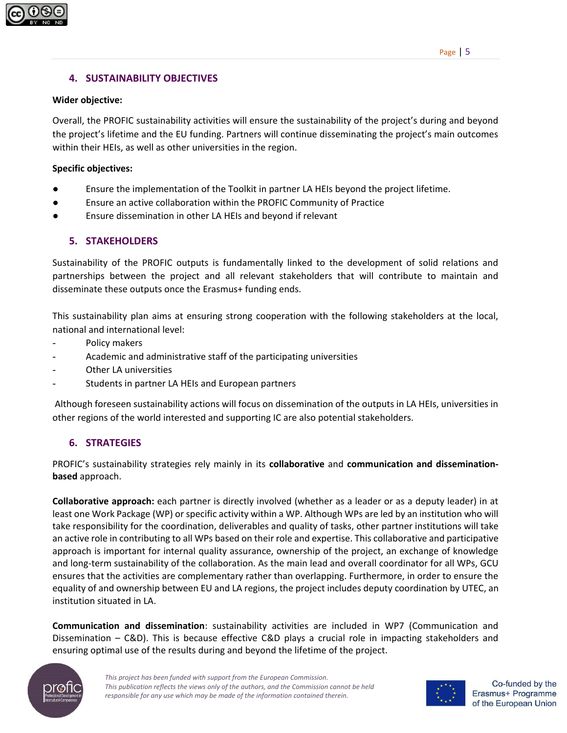

#### <span id="page-5-0"></span>**4. SUSTAINABILITY OBJECTIVES**

#### **Wider objective:**

Overall, the PROFIC sustainability activities will ensure the sustainability of the project's during and beyond the project's lifetime and the EU funding. Partners will continue disseminating the project's main outcomes within their HEIs, as well as other universities in the region.

**Specific objectives:**

- Ensure the implementation of the Toolkit in partner LA HEIs beyond the project lifetime.
- Ensure an active collaboration within the PROFIC Community of Practice
- Ensure dissemination in other LA HEIs and beyond if relevant

#### <span id="page-5-1"></span>**5. STAKEHOLDERS**

Sustainability of the PROFIC outputs is fundamentally linked to the development of solid relations and partnerships between the project and all relevant stakeholders that will contribute to maintain and disseminate these outputs once the Erasmus+ funding ends.

This sustainability plan aims at ensuring strong cooperation with the following stakeholders at the local, national and international level:

- Policy makers
- Academic and administrative staff of the participating universities
- Other LA universities
- Students in partner LA HEIs and European partners

Although foreseen sustainability actions will focus on dissemination of the outputs in LA HEIs, universities in other regions of the world interested and supporting IC are also potential stakeholders.

#### <span id="page-5-2"></span>**6. STRATEGIES**

PROFIC's sustainability strategies rely mainly in its **collaborative** and **communication and disseminationbased** approach.

**Collaborative approach:** each partner is directly involved (whether as a leader or as a deputy leader) in at least one Work Package (WP) or specific activity within a WP. Although WPs are led by an institution who will take responsibility for the coordination, deliverables and quality of tasks, other partner institutions will take an active role in contributing to all WPs based on their role and expertise. This collaborative and participative approach is important for internal quality assurance, ownership of the project, an exchange of knowledge and long-term sustainability of the collaboration. As the main lead and overall coordinator for all WPs, GCU ensures that the activities are complementary rather than overlapping. Furthermore, in order to ensure the equality of and ownership between EU and LA regions, the project includes deputy coordination by UTEC, an institution situated in LA.

**Communication and dissemination**: sustainability activities are included in WP7 (Communication and Dissemination – C&D). This is because effective C&D plays a crucial role in impacting stakeholders and ensuring optimal use of the results during and beyond the lifetime of the project.



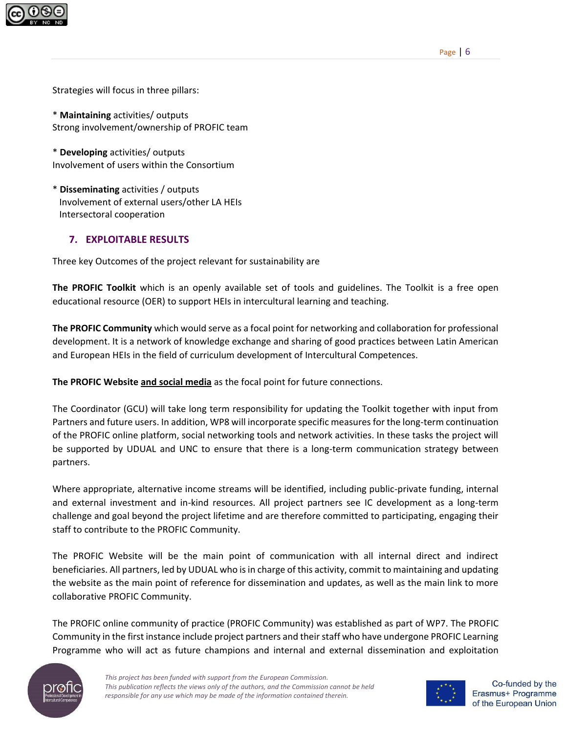

Strategies will focus in three pillars:

\* **Maintaining** activities/ outputs Strong involvement/ownership of PROFIC team

\* **Developing** activities/ outputs Involvement of users within the Consortium

\* **Disseminating** activities / outputs Involvement of external users/other LA HEIs Intersectoral cooperation

#### <span id="page-6-0"></span>**7. EXPLOITABLE RESULTS**

Three key Outcomes of the project relevant for sustainability are

**The PROFIC Toolkit** which is an openly available set of tools and guidelines. The Toolkit is a free open educational resource (OER) to support HEIs in intercultural learning and teaching.

**The PROFIC Community** which would serve as a focal point for networking and collaboration for professional development. It is a network of knowledge exchange and sharing of good practices between Latin American and European HEIs in the field of curriculum development of Intercultural Competences.

**The PROFIC Website and social media** as the focal point for future connections.

The Coordinator (GCU) will take long term responsibility for updating the Toolkit together with input from Partners and future users. In addition, WP8 will incorporate specific measures for the long-term continuation of the PROFIC online platform, social networking tools and network activities. In these tasks the project will be supported by UDUAL and UNC to ensure that there is a long-term communication strategy between partners.

Where appropriate, alternative income streams will be identified, including public-private funding, internal and external investment and in-kind resources. All project partners see IC development as a long-term challenge and goal beyond the project lifetime and are therefore committed to participating, engaging their staff to contribute to the PROFIC Community.

The PROFIC Website will be the main point of communication with all internal direct and indirect beneficiaries. All partners, led by UDUAL who is in charge of this activity, commit to maintaining and updating the website as the main point of reference for dissemination and updates, as well as the main link to more collaborative PROFIC Community.

The PROFIC online community of practice (PROFIC Community) was established as part of WP7. The PROFIC Community in the first instance include project partners and their staff who have undergone PROFIC Learning Programme who will act as future champions and internal and external dissemination and exploitation



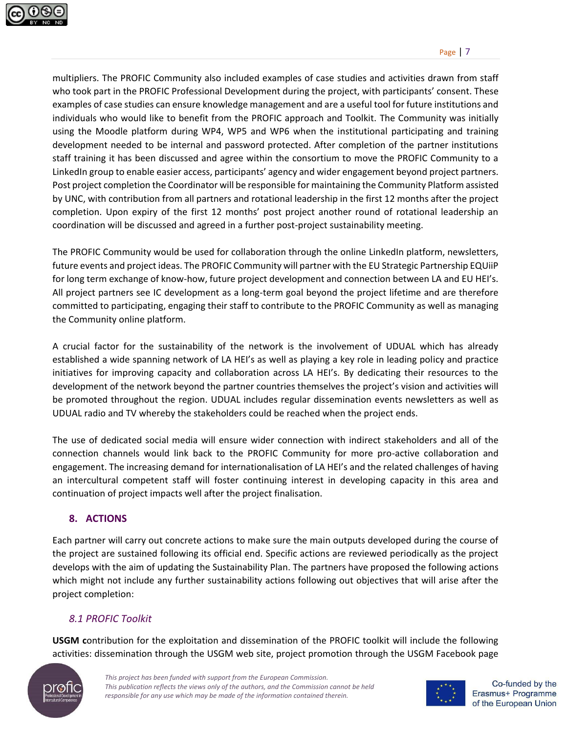

multipliers. The PROFIC Community also included examples of case studies and activities drawn from staff who took part in the PROFIC Professional Development during the project, with participants' consent. These examples of case studies can ensure knowledge management and are a useful tool for future institutions and individuals who would like to benefit from the PROFIC approach and Toolkit. The Community was initially using the Moodle platform during WP4, WP5 and WP6 when the institutional participating and training development needed to be internal and password protected. After completion of the partner institutions staff training it has been discussed and agree within the consortium to move the PROFIC Community to a LinkedIn group to enable easier access, participants' agency and wider engagement beyond project partners. Post project completion the Coordinator will be responsible for maintaining the Community Platform assisted by UNC, with contribution from all partners and rotational leadership in the first 12 months after the project completion. Upon expiry of the first 12 months' post project another round of rotational leadership an coordination will be discussed and agreed in a further post-project sustainability meeting.

The PROFIC Community would be used for collaboration through the online LinkedIn platform, newsletters, future events and project ideas. The PROFIC Community will partner with the EU Strategic Partnership EQUiiP for long term exchange of know-how, future project development and connection between LA and EU HEI's. All project partners see IC development as a long-term goal beyond the project lifetime and are therefore committed to participating, engaging their staff to contribute to the PROFIC Community as well as managing the Community online platform.

A crucial factor for the sustainability of the network is the involvement of UDUAL which has already established a wide spanning network of LA HEI's as well as playing a key role in leading policy and practice initiatives for improving capacity and collaboration across LA HEI's. By dedicating their resources to the development of the network beyond the partner countries themselves the project's vision and activities will be promoted throughout the region. UDUAL includes regular dissemination events newsletters as well as UDUAL radio and TV whereby the stakeholders could be reached when the project ends.

The use of dedicated social media will ensure wider connection with indirect stakeholders and all of the connection channels would link back to the PROFIC Community for more pro-active collaboration and engagement. The increasing demand for internationalisation of LA HEI's and the related challenges of having an intercultural competent staff will foster continuing interest in developing capacity in this area and continuation of project impacts well after the project finalisation.

# <span id="page-7-0"></span>**8. ACTIONS**

Each partner will carry out concrete actions to make sure the main outputs developed during the course of the project are sustained following its official end. Specific actions are reviewed periodically as the project develops with the aim of updating the Sustainability Plan. The partners have proposed the following actions which might not include any further sustainability actions following out objectives that will arise after the project completion:

# <span id="page-7-1"></span>*8.1 PROFIC Toolkit*

**USGM c**ontribution for the exploitation and dissemination of the PROFIC toolkit will include the following activities: dissemination through the USGM web site, project promotion through the USGM Facebook page



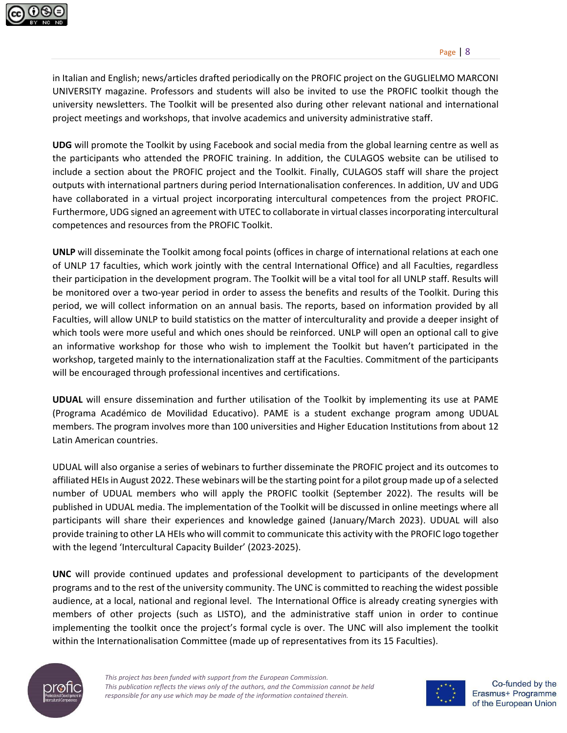

in Italian and English; news/articles drafted periodically on the PROFIC project on the GUGLIELMO MARCONI UNIVERSITY magazine. Professors and students will also be invited to use the PROFIC toolkit though the university newsletters. The Toolkit will be presented also during other relevant national and international project meetings and workshops, that involve academics and university administrative staff.

**UDG** will promote the Toolkit by using Facebook and social media from the global learning centre as well as the participants who attended the PROFIC training. In addition, the CULAGOS website can be utilised to include a section about the PROFIC project and the Toolkit. Finally, CULAGOS staff will share the project outputs with international partners during period Internationalisation conferences. In addition, UV and UDG have collaborated in a virtual project incorporating intercultural competences from the project PROFIC. Furthermore, UDG signed an agreement with UTEC to collaborate in virtual classes incorporating intercultural competences and resources from the PROFIC Toolkit.

**UNLP** will disseminate the Toolkit among focal points (offices in charge of international relations at each one of UNLP 17 faculties, which work jointly with the central International Office) and all Faculties, regardless their participation in the development program. The Toolkit will be a vital tool for all UNLP staff. Results will be monitored over a two-year period in order to assess the benefits and results of the Toolkit. During this period, we will collect information on an annual basis. The reports, based on information provided by all Faculties, will allow UNLP to build statistics on the matter of interculturality and provide a deeper insight of which tools were more useful and which ones should be reinforced. UNLP will open an optional call to give an informative workshop for those who wish to implement the Toolkit but haven't participated in the workshop, targeted mainly to the internationalization staff at the Faculties. Commitment of the participants will be encouraged through professional incentives and certifications.

**UDUAL** will ensure dissemination and further utilisation of the Toolkit by implementing its use at PAME (Programa Académico de Movilidad Educativo). PAME is a student exchange program among UDUAL members. The program involves more than 100 universities and Higher Education Institutions from about 12 Latin American countries.

UDUAL will also organise a series of webinars to further disseminate the PROFIC project and its outcomes to affiliated HEIs in August 2022. These webinars will be the starting point for a pilot group made up of a selected number of UDUAL members who will apply the PROFIC toolkit (September 2022). The results will be published in UDUAL media. The implementation of the Toolkit will be discussed in online meetings where all participants will share their experiences and knowledge gained (January/March 2023). UDUAL will also provide training to other LA HEIs who will commit to communicate this activity with the PROFIC logo together with the legend 'Intercultural Capacity Builder' (2023-2025).

**UNC** will provide continued updates and professional development to participants of the development programs and to the rest of the university community. The UNC is committed to reaching the widest possible audience, at a local, national and regional level. The International Office is already creating synergies with members of other projects (such as LISTO), and the administrative staff union in order to continue implementing the toolkit once the project's formal cycle is over. The UNC will also implement the toolkit within the Internationalisation Committee (made up of representatives from its 15 Faculties).



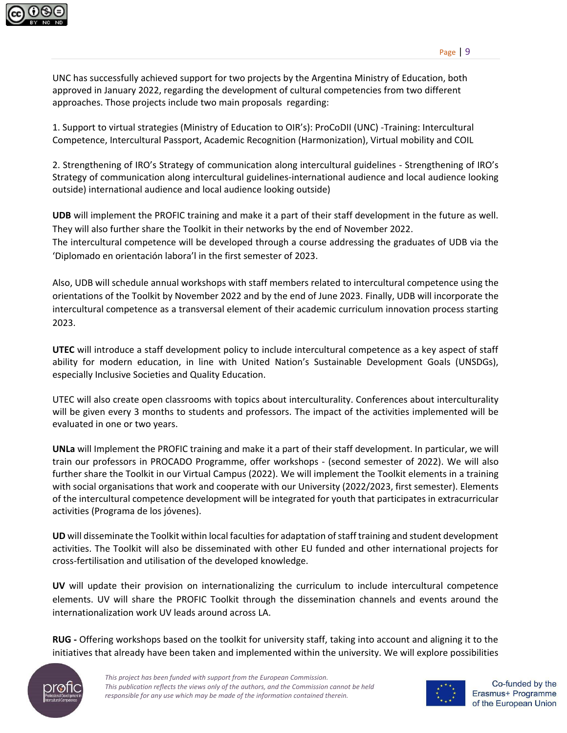

UNC has successfully achieved support for two projects by the Argentina Ministry of Education, both approved in January 2022, regarding the development of cultural competencies from two different approaches. Those projects include two main proposals regarding:

1. Support to virtual strategies (Ministry of Education to OIR's): ProCoDII (UNC) -Training: Intercultural Competence, Intercultural Passport, Academic Recognition (Harmonization), Virtual mobility and COIL

2. Strengthening of IRO's Strategy of communication along intercultural guidelines - Strengthening of IRO's Strategy of communication along intercultural guidelines-international audience and local audience looking outside) international audience and local audience looking outside)

**UDB** will implement the PROFIC training and make it a part of their staff development in the future as well. They will also further share the Toolkit in their networks by the end of November 2022. The intercultural competence will be developed through a course addressing the graduates of UDB via the 'Diplomado en orientación labora'l in the first semester of 2023.

Also, UDB will schedule annual workshops with staff members related to intercultural competence using the orientations of the Toolkit by November 2022 and by the end of June 2023. Finally, UDB will incorporate the intercultural competence as a transversal element of their academic curriculum innovation process starting 2023.

**UTEC** will introduce a staff development policy to include intercultural competence as a key aspect of staff ability for modern education, in line with United Nation's Sustainable Development Goals (UNSDGs), especially Inclusive Societies and Quality Education.

UTEC will also create open classrooms with topics about interculturality. Conferences about interculturality will be given every 3 months to students and professors. The impact of the activities implemented will be evaluated in one or two years.

**UNLa** will Implement the PROFIC training and make it a part of their staff development. In particular, we will train our professors in PROCADO Programme, offer workshops - (second semester of 2022). We will also further share the Toolkit in our Virtual Campus (2022). We will implement the Toolkit elements in a training with social organisations that work and cooperate with our University (2022/2023, first semester). Elements of the intercultural competence development will be integrated for youth that participates in extracurricular activities (Programa de los jóvenes).

**UD** will disseminate the Toolkit within local faculties for adaptation of staff training and student development activities. The Toolkit will also be disseminated with other EU funded and other international projects for cross-fertilisation and utilisation of the developed knowledge.

**UV** will update their provision on internationalizing the curriculum to include intercultural competence elements. UV will share the PROFIC Toolkit through the dissemination channels and events around the internationalization work UV leads around across LA.

**RUG -** Offering workshops based on the toolkit for university staff, taking into account and aligning it to the initiatives that already have been taken and implemented within the university. We will explore possibilities



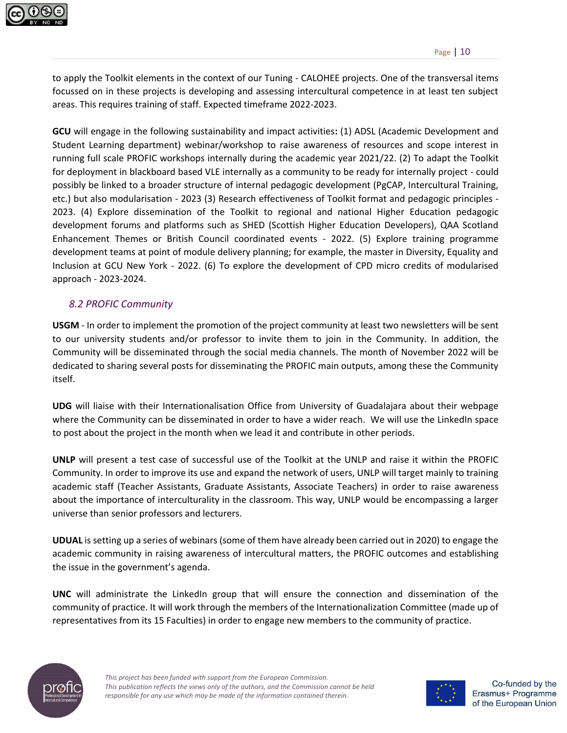

to apply the Toolkit elements in the context of our Tuning - CALOHEE projects. One of the transversal items focussed on in these projects is developing and assessing intercultural competence in at least ten subject areas. This requires training of staff. Expected timeframe 2022-2023.

**GCU** will engage in the following sustainability and impact activities**:** (1) ADSL (Academic Development and Student Learning department) webinar/workshop to raise awareness of resources and scope interest in running full scale PROFIC workshops internally during the academic year 2021/22. (2) To adapt the Toolkit for deployment in blackboard based VLE internally as a community to be ready for internally project - could possibly be linked to a broader structure of internal pedagogic development (PgCAP, Intercultural Training, etc.) but also modularisation - 2023 (3) Research effectiveness of Toolkit format and pedagogic principles - 2023. (4) Explore dissemination of the Toolkit to regional and national Higher Education pedagogic development forums and platforms such as SHED (Scottish Higher Education Developers), QAA Scotland Enhancement Themes or British Council coordinated events - 2022. (5) Explore training programme development teams at point of module delivery planning; for example, the master in Diversity, Equality and Inclusion at GCU New York - 2022. (6) To explore the development of CPD micro credits of modularised approach - 2023-2024.

#### <span id="page-10-0"></span>*8.2 PROFIC Community*

**USGM** - In order to implement the promotion of the project community at least two newsletters will be sent to our university students and/or professor to invite them to join in the Community. In addition, the Community will be disseminated through the social media channels. The month of November 2022 will be dedicated to sharing several posts for disseminating the PROFIC main outputs, among these the Community itself.

**UDG** will liaise with their Internationalisation Office from University of Guadalajara about their webpage where the Community can be disseminated in order to have a wider reach. We will use the LinkedIn space to post about the project in the month when we lead it and contribute in other periods.

**UNLP** will present a test case of successful use of the Toolkit at the UNLP and raise it within the PROFIC Community. In order to improve its use and expand the network of users, UNLP will target mainly to training academic staff (Teacher Assistants, Graduate Assistants, Associate Teachers) in order to raise awareness about the importance of interculturality in the classroom. This way, UNLP would be encompassing a larger universe than senior professors and lecturers.

**UDUAL** is setting up a series of webinars (some of them have already been carried out in 2020) to engage the academic community in raising awareness of intercultural matters, the PROFIC outcomes and establishing the issue in the government's agenda.

**UNC** will administrate the LinkedIn group that will ensure the connection and dissemination of the community of practice. It will work through the members of the Internationalization Committee (made up of representatives from its 15 Faculties) in order to engage new members to the community of practice.



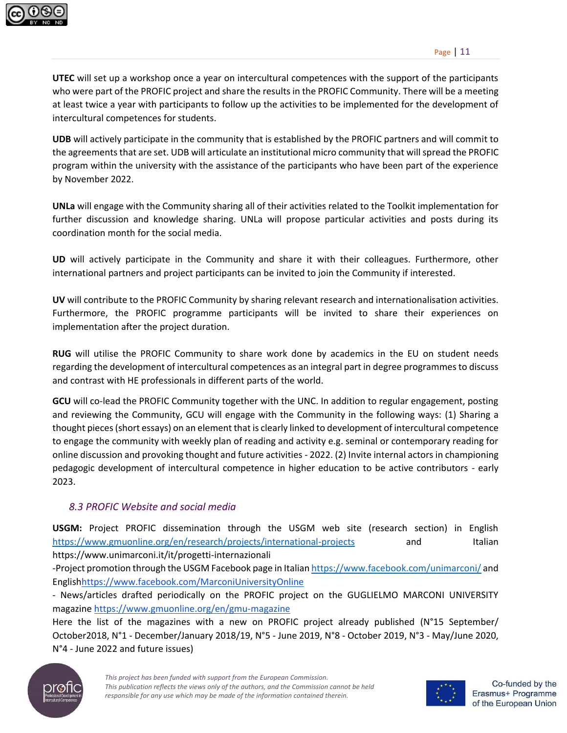

**UTEC** will set up a workshop once a year on intercultural competences with the support of the participants who were part of the PROFIC project and share the results in the PROFIC Community. There will be a meeting at least twice a year with participants to follow up the activities to be implemented for the development of intercultural competences for students.

**UDB** will actively participate in the community that is established by the PROFIC partners and will commit to the agreements that are set. UDB will articulate an institutional micro community that will spread the PROFIC program within the university with the assistance of the participants who have been part of the experience by November 2022.

**UNLa** will engage with the Community sharing all of their activities related to the Toolkit implementation for further discussion and knowledge sharing. UNLa will propose particular activities and posts during its coordination month for the social media.

**UD** will actively participate in the Community and share it with their colleagues. Furthermore, other international partners and project participants can be invited to join the Community if interested.

**UV** will contribute to the PROFIC Community by sharing relevant research and internationalisation activities. Furthermore, the PROFIC programme participants will be invited to share their experiences on implementation after the project duration.

**RUG** will utilise the PROFIC Community to share work done by academics in the EU on student needs regarding the development of intercultural competences as an integral part in degree programmes to discuss and contrast with HE professionals in different parts of the world.

**GCU** will co-lead the PROFIC Community together with the UNC. In addition to regular engagement, posting and reviewing the Community, GCU will engage with the Community in the following ways: (1) Sharing a thought pieces(short essays) on an element that is clearly linked to development of intercultural competence to engage the community with weekly plan of reading and activity e.g. seminal or contemporary reading for online discussion and provoking thought and future activities - 2022. (2) Invite internal actors in championing pedagogic development of intercultural competence in higher education to be active contributors - early 2023.

# <span id="page-11-0"></span>*8.3 PROFIC Website and social media*

**USGM:** Project PROFIC dissemination through the USGM web site (research section) in English <https://www.gmuonline.org/en/research/projects/international-projects> and Italian https://www.unimarconi.it/it/progetti-internazionali

-Project promotion through the USGM Facebook page in Italia[n https://www.facebook.com/unimarconi/](https://www.facebook.com/unimarconi/) and Englis[hhttps://www.facebook.com/MarconiUniversityOnline](https://www.facebook.com/MarconiUniversityOnline) 

- News/articles drafted periodically on the PROFIC project on the GUGLIELMO MARCONI UNIVERSITY magazine<https://www.gmuonline.org/en/gmu-magazine>

Here the list of the magazines with a new on PROFIC project already published (N°15 September/ October2018, N°1 - December/January 2018/19, N°5 - June 2019, N°8 - October 2019, N°3 - May/June 2020, N°4 - June 2022 and future issues)



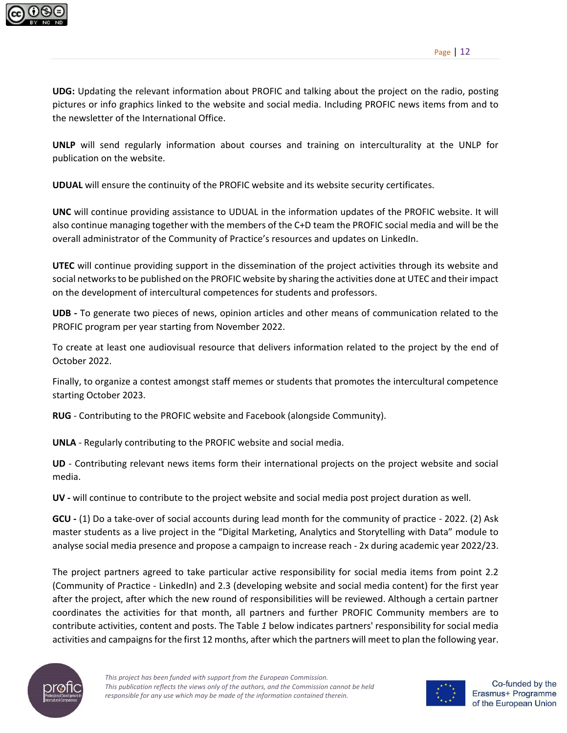

**UDG:** Updating the relevant information about PROFIC and talking about the project on the radio, posting pictures or info graphics linked to the website and social media. Including PROFIC news items from and to the newsletter of the International Office.

**UNLP** will send regularly information about courses and training on interculturality at the UNLP for publication on the website.

**UDUAL** will ensure the continuity of the PROFIC website and its website security certificates.

**UNC** will continue providing assistance to UDUAL in the information updates of the PROFIC website. It will also continue managing together with the members of the C+D team the PROFIC social media and will be the overall administrator of the Community of Practice's resources and updates on LinkedIn.

**UTEC** will continue providing support in the dissemination of the project activities through its website and social networks to be published on the PROFIC website by sharing the activities done at UTEC and their impact on the development of intercultural competences for students and professors.

**UDB -** To generate two pieces of news, opinion articles and other means of communication related to the PROFIC program per year starting from November 2022.

To create at least one audiovisual resource that delivers information related to the project by the end of October 2022.

Finally, to organize a contest amongst staff memes or students that promotes the intercultural competence starting October 2023.

**RUG** - Contributing to the PROFIC website and Facebook (alongside Community).

**UNLA** - Regularly contributing to the PROFIC website and social media.

**UD** - Contributing relevant news items form their international projects on the project website and social media.

**UV -** will continue to contribute to the project website and social media post project duration as well.

**GCU -** (1) Do a take-over of social accounts during lead month for the community of practice - 2022. (2) Ask master students as a live project in the "Digital Marketing, Analytics and Storytelling with Data" module to analyse social media presence and propose a campaign to increase reach - 2x during academic year 2022/23.

The project partners agreed to take particular active responsibility for social media items from point 2.2 (Community of Practice - LinkedIn) and 2.3 (developing website and social media content) for the first year after the project, after which the new round of responsibilities will be reviewed. Although a certain partner coordinates the activities for that month, all partners and further PROFIC Community members are to contribute activities, content and posts. Th[e Table](#page-13-1) *1* below indicates partners' responsibility for social media activities and campaigns for the first 12 months, after which the partners will meet to plan the following year.



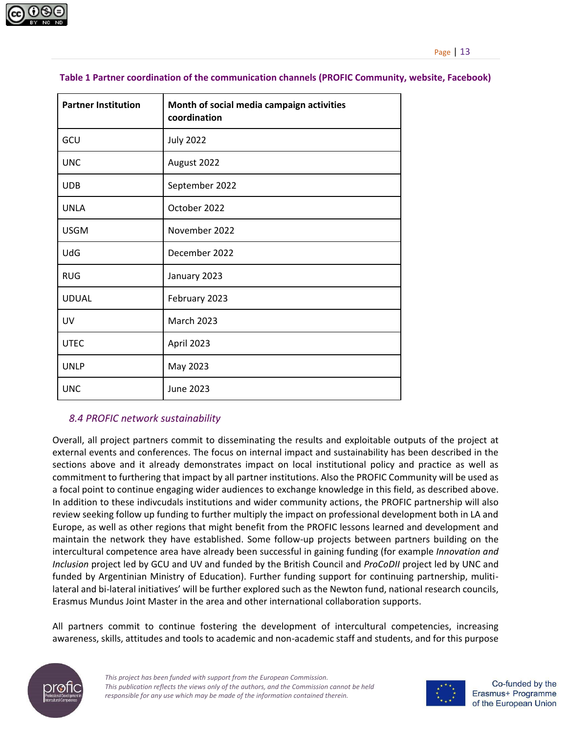

| <b>Partner Institution</b> | Month of social media campaign activities<br>coordination |  |
|----------------------------|-----------------------------------------------------------|--|
| GCU                        | <b>July 2022</b>                                          |  |
| <b>UNC</b>                 | August 2022                                               |  |
| <b>UDB</b>                 | September 2022                                            |  |
| <b>UNLA</b>                | October 2022                                              |  |
| <b>USGM</b>                | November 2022                                             |  |
| UdG                        | December 2022                                             |  |
| <b>RUG</b>                 | January 2023                                              |  |
| <b>UDUAL</b>               | February 2023                                             |  |
| UV                         | <b>March 2023</b>                                         |  |
| <b>UTEC</b>                | April 2023                                                |  |
| <b>UNLP</b>                | May 2023                                                  |  |
| <b>UNC</b>                 | June 2023                                                 |  |

#### <span id="page-13-1"></span>**Table 1 Partner coordination of the communication channels (PROFIC Community, website, Facebook)**

#### <span id="page-13-0"></span>*8.4 PROFIC network sustainability*

Overall, all project partners commit to disseminating the results and exploitable outputs of the project at external events and conferences. The focus on internal impact and sustainability has been described in the sections above and it already demonstrates impact on local institutional policy and practice as well as commitment to furthering that impact by all partner institutions. Also the PROFIC Community will be used as a focal point to continue engaging wider audiences to exchange knowledge in this field, as described above. In addition to these indivcudals institutions and wider community actions, the PROFIC partnership will also review seeking follow up funding to further multiply the impact on professional development both in LA and Europe, as well as other regions that might benefit from the PROFIC lessons learned and development and maintain the network they have established. Some follow-up projects between partners building on the intercultural competence area have already been successful in gaining funding (for example *Innovation and Inclusion* project led by GCU and UV and funded by the British Council and *ProCoDII* project led by UNC and funded by Argentinian Ministry of Education). Further funding support for continuing partnership, mulitilateral and bi-lateral initiatives' will be further explored such as the Newton fund, national research councils, Erasmus Mundus Joint Master in the area and other international collaboration supports.

All partners commit to continue fostering the development of intercultural competencies, increasing awareness, skills, attitudes and tools to academic and non-academic staff and students, and for this purpose